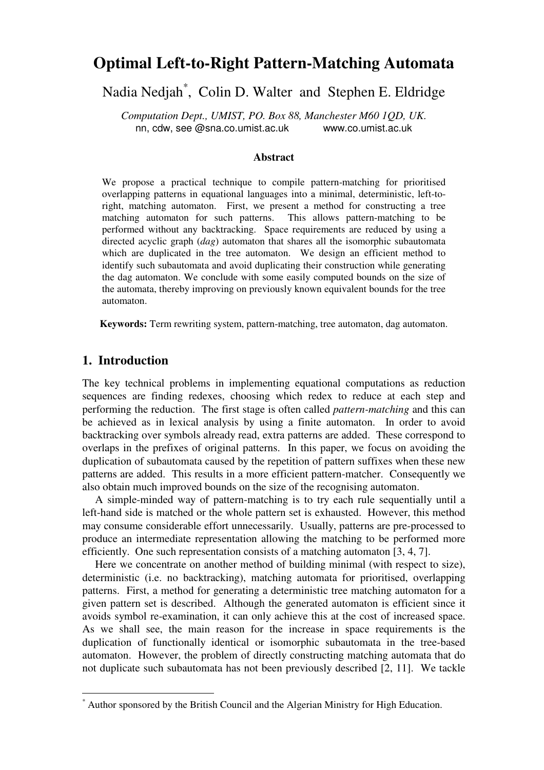# **Optimal Left-to-Right Pattern-Matching Automata**

# Nadia Nedjah\* , Colin D. Walter and Stephen E. Eldridge

*Computation Dept., UMIST, PO. Box 88, Manchester M60 1QD, UK.*  nn, cdw, see @sna.co.umist.ac.uk www.co.umist.ac.uk

#### **Abstract**

We propose a practical technique to compile pattern-matching for prioritised overlapping patterns in equational languages into a minimal, deterministic, left-toright, matching automaton. First, we present a method for constructing a tree matching automaton for such patterns. This allows pattern-matching to be performed without any backtracking. Space requirements are reduced by using a directed acyclic graph (*dag*) automaton that shares all the isomorphic subautomata which are duplicated in the tree automaton. We design an efficient method to identify such subautomata and avoid duplicating their construction while generating the dag automaton. We conclude with some easily computed bounds on the size of the automata, thereby improving on previously known equivalent bounds for the tree automaton.

**Keywords:** Term rewriting system, pattern-matching, tree automaton, dag automaton.

## **1. Introduction**

 $\overline{a}$ 

The key technical problems in implementing equational computations as reduction sequences are finding redexes, choosing which redex to reduce at each step and performing the reduction. The first stage is often called *pattern-matching* and this can be achieved as in lexical analysis by using a finite automaton. In order to avoid backtracking over symbols already read, extra patterns are added. These correspond to overlaps in the prefixes of original patterns. In this paper, we focus on avoiding the duplication of subautomata caused by the repetition of pattern suffixes when these new patterns are added. This results in a more efficient pattern-matcher. Consequently we also obtain much improved bounds on the size of the recognising automaton.

A simple-minded way of pattern-matching is to try each rule sequentially until a left-hand side is matched or the whole pattern set is exhausted. However, this method may consume considerable effort unnecessarily. Usually, patterns are pre-processed to produce an intermediate representation allowing the matching to be performed more efficiently. One such representation consists of a matching automaton [3, 4, 7].

Here we concentrate on another method of building minimal (with respect to size), deterministic (i.e. no backtracking), matching automata for prioritised, overlapping patterns. First, a method for generating a deterministic tree matching automaton for a given pattern set is described. Although the generated automaton is efficient since it avoids symbol re-examination, it can only achieve this at the cost of increased space. As we shall see, the main reason for the increase in space requirements is the duplication of functionally identical or isomorphic subautomata in the tree-based automaton. However, the problem of directly constructing matching automata that do not duplicate such subautomata has not been previously described [2, 11]. We tackle

<sup>\*</sup> Author sponsored by the British Council and the Algerian Ministry for High Education.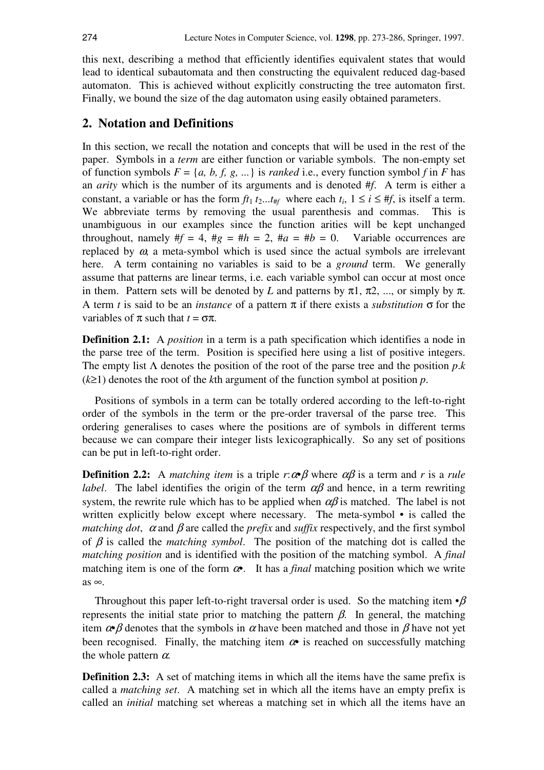this next, describing a method that efficiently identifies equivalent states that would lead to identical subautomata and then constructing the equivalent reduced dag-based automaton. This is achieved without explicitly constructing the tree automaton first. Finally, we bound the size of the dag automaton using easily obtained parameters.

## **2. Notation and Definitions**

In this section, we recall the notation and concepts that will be used in the rest of the paper.Symbols in a *term* are either function or variable symbols. The non-empty set of function symbols  $F = \{a, b, f, g, ...\}$  is *ranked* i.e., every function symbol f in F has an *arity* which is the number of its arguments and is denoted #*f*. A term is either a constant, a variable or has the form  $ft_1 t_2... t_{\# f}$  where each  $t_i$ ,  $1 \le i \le \# f$ , is itself a term. We abbreviate terms by removing the usual parenthesis and commas. This is unambiguous in our examples since the function arities will be kept unchanged throughout, namely  $#f = 4$ ,  $#g = #h = 2$ ,  $#a = #b = 0$ . Variable occurrences are replaced by  $\omega$ , a meta-symbol which is used since the actual symbols are irrelevant here. A term containing no variables is said to be a *ground* term. We generally assume that patterns are linear terms, i.e. each variable symbol can occur at most once in them. Pattern sets will be denoted by *L* and patterns by  $\pi$ 1,  $\pi$ 2, ..., or simply by  $\pi$ . A term *t* is said to be an *instance* of a pattern π if there exists a *substitution* σ for the variables of π such that *t* = σπ.

**Definition 2.1:** A *position* in a term is a path specification which identifies a node in the parse tree of the term. Position is specified here using a list of positive integers. The empty list Λ denotes the position of the root of the parse tree and the position *p*.*k* (*k*≥1) denotes the root of the *k*th argument of the function symbol at position *p*.

Positions of symbols in a term can be totally ordered according to the left-to-right order of the symbols in the term or the pre-order traversal of the parse tree. This ordering generalises to cases where the positions are of symbols in different terms because we can compare their integer lists lexicographically. So any set of positions can be put in left-to-right order.

**Definition 2.2:** A *matching item* is a triple  $r:\alpha \beta$  where  $\alpha \beta$  is a term and *r* is a *rule label*. The label identifies the origin of the term  $\alpha\beta$  and hence, in a term rewriting system, the rewrite rule which has to be applied when  $\alpha\beta$  is matched. The label is not written explicitly below except where necessary. The meta-symbol • is called the *matching dot,*  $\alpha$  and  $\beta$  are called the *prefix* and *suffix* respectively, and the first symbol of  $\beta$  is called the *matching symbol*. The position of the matching dot is called the *matching position* and is identified with the position of the matching symbol. A *final* matching item is one of the form  $\alpha$ <sup>•</sup>. It has a *final* matching position which we write as  $\infty$ .

Throughout this paper left-to-right traversal order is used. So the matching item *•*β represents the initial state prior to matching the pattern  $β$ . In general, the matching item  $\alpha \beta$  denotes that the symbols in  $\alpha$  have been matched and those in  $\beta$  have not yet been recognised. Finally, the matching item  $\alpha$ <sup>*i*</sup> is reached on successfully matching the whole pattern  $\alpha$ .

**Definition 2.3:** A set of matching items in which all the items have the same prefix is called a *matching set*. A matching set in which all the items have an empty prefix is called an *initial* matching set whereas a matching set in which all the items have an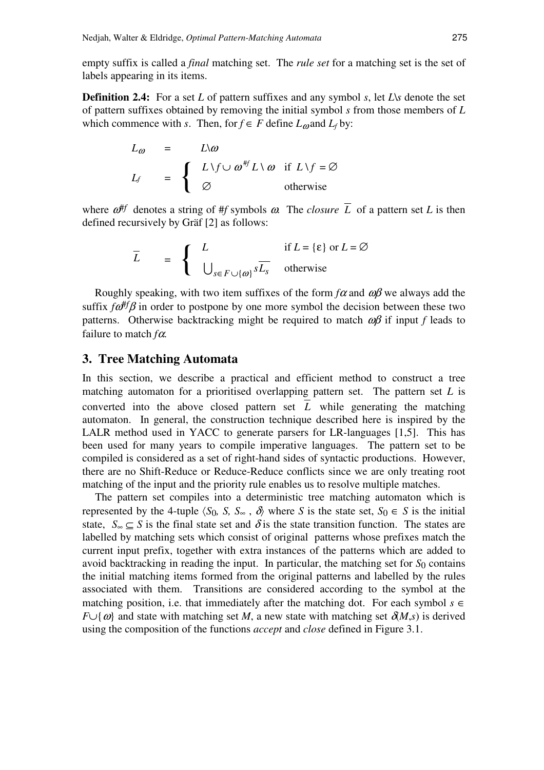empty suffix is called a *final* matching set. The *rule set* for a matching set is the set of labels appearing in its items.

**Definition 2.4:** For a set *L* of pattern suffixes and any symbol *s*, let *L*\*s* denote the set of pattern suffixes obtained by removing the initial symbol *s* from those members of *L* which commence with *s*. Then, for  $f \in F$  define  $L_{\omega}$  and  $L_f$  by:

$$
L_{\omega} = L \wedge \omega
$$
  

$$
L_{f} = \begin{cases} L \vee f \cup \omega^{\# f} L \setminus \omega & \text{if } L \setminus f = \varnothing \\ \varnothing & \text{otherwise} \end{cases}
$$

where  $\omega^{ff}$  denotes a string of #*f* symbols  $\omega$ . The *closure*  $\overline{L}$  of a pattern set *L* is then defined recursively by Gräf [2] as follows:

$$
\overline{L} = \begin{cases} L & \text{if } L = \{\varepsilon\} \text{ or } L = \emptyset \\ \bigcup_{s \in F \cup \{\omega\}} s \overline{L_s} & \text{otherwise} \end{cases}
$$

Roughly speaking, with two item suffixes of the form  $f\alpha$  and  $\omega\beta$  we always add the suffix  $f\omega^{#f}\beta$  in order to postpone by one more symbol the decision between these two patterns. Otherwise backtracking might be required to match ωβ if input *f* leads to failure to match *f*α.

### **3. Tree Matching Automata**

In this section, we describe a practical and efficient method to construct a tree matching automaton for a prioritised overlapping pattern set. The pattern set *L* is converted into the above closed pattern set  $\overline{L}$  while generating the matching automaton. In general, the construction technique described here is inspired by the LALR method used in YACC to generate parsers for LR-languages [1,5]. This has been used for many years to compile imperative languages. The pattern set to be compiled is considered as a set of right-hand sides of syntactic productions. However, there are no Shift-Reduce or Reduce-Reduce conflicts since we are only treating root matching of the input and the priority rule enables us to resolve multiple matches.

The pattern set compiles into a deterministic tree matching automaton which is represented by the 4-tuple  $\langle S_0, S, S_\infty, \delta \rangle$  where *S* is the state set,  $S_0 \in S$  is the initial state,  $S_{\infty} \subseteq S$  is the final state set and  $\delta$  is the state transition function. The states are labelled by matching sets which consist of original patterns whose prefixes match the current input prefix, together with extra instances of the patterns which are added to avoid backtracking in reading the input. In particular, the matching set for  $S_0$  contains the initial matching items formed from the original patterns and labelled by the rules associated with them. Transitions are considered according to the symbol at the matching position, i.e. that immediately after the matching dot. For each symbol  $s \in$ *F*∪{ω} and state with matching set *M*, a new state with matching set  $\delta(M,s)$  is derived using the composition of the functions *accept* and *close* defined in Figure 3.1.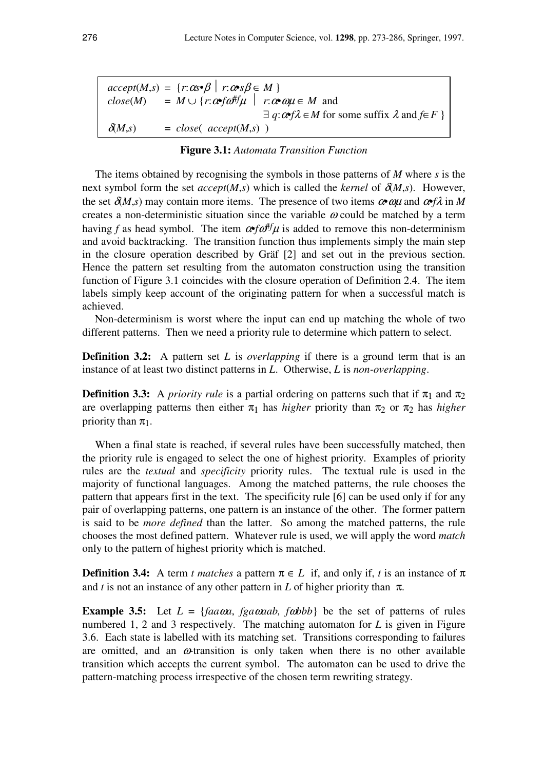$$
accept(M, s) = \{r: \alpha s \cdot \beta \mid r: \alpha s \beta \in M \}
$$
  
\n
$$
close(M) = M \cup \{r: \alpha s \cdot \beta \neq f \mid r: \alpha s \cdot \alpha \neq \alpha \in M \text{ and }
$$
  
\n
$$
\exists q: \alpha s \neq \beta \in M \text{ for some suffix } \lambda \text{ and } f \in F \}
$$
  
\n
$$
\delta(M, s) = close(\ accept(M, s))
$$

#### **Figure 3.1:** *Automata Transition Function*

The items obtained by recognising the symbols in those patterns of *M* where *s* is the next symbol form the set  $accept(M,s)$  which is called the *kernel* of  $\delta(M,s)$ . However, the set  $\delta(M,s)$  may contain more items. The presence of two items  $\alpha \cdot \omega \mu$  and  $\alpha \cdot f \lambda$  in M creates a non-deterministic situation since the variable  $\omega$  could be matched by a term having *f* as head symbol. The item  $\alpha \neq f \omega \neq f \mu$  is added to remove this non-determinism and avoid backtracking. The transition function thus implements simply the main step in the closure operation described by Gräf [2] and set out in the previous section. Hence the pattern set resulting from the automaton construction using the transition function of Figure 3.1 coincides with the closure operation of Definition 2.4. The item labels simply keep account of the originating pattern for when a successful match is achieved.

Non-determinism is worst where the input can end up matching the whole of two different patterns. Then we need a priority rule to determine which pattern to select.

**Definition 3.2:** A pattern set *L* is *overlapping* if there is a ground term that is an instance of at least two distinct patterns in *L*. Otherwise, *L* is *non-overlapping*.

**Definition 3.3:** A *priority rule* is a partial ordering on patterns such that if  $\pi_1$  and  $\pi_2$ are overlapping patterns then either  $\pi_1$  has *higher* priority than  $\pi_2$  or  $\pi_2$  has *higher* priority than  $\pi_1$ .

When a final state is reached, if several rules have been successfully matched, then the priority rule is engaged to select the one of highest priority. Examples of priority rules are the *textual* and *specificity* priority rules. The textual rule is used in the majority of functional languages. Among the matched patterns, the rule chooses the pattern that appears first in the text. The specificity rule [6] can be used only if for any pair of overlapping patterns, one pattern is an instance of the other. The former pattern is said to be *more defined* than the latter. So among the matched patterns, the rule chooses the most defined pattern. Whatever rule is used, we will apply the word *match* only to the pattern of highest priority which is matched.

**Definition 3.4:** A term *t* matches a pattern  $\pi \in L$  if, and only if, *t* is an instance of  $\pi$ and *t* is not an instance of any other pattern in *L* of higher priority than  $\pi$ .

**Example 3.5:** Let  $L = \{faa\omega a, fa\omega a\}$ ,  $fa\omega b\}$  be the set of patterns of rules numbered 1, 2 and 3 respectively. The matching automaton for *L* is given in Figure 3.6. Each state is labelled with its matching set. Transitions corresponding to failures are omitted, and an  $\omega$ -transition is only taken when there is no other available transition which accepts the current symbol. The automaton can be used to drive the pattern-matching process irrespective of the chosen term rewriting strategy.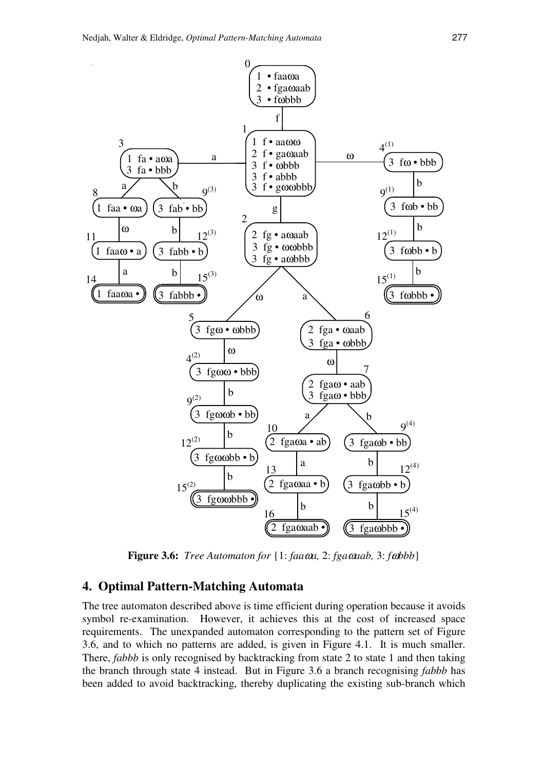

**Figure 3.6:** *Tree Automaton for* {1: *faa*ω*a,* 2: *fga*ω*aab,* 3: *f*ω*bbb*}

## **4. Optimal Pattern-Matching Automata**

The tree automaton described above is time efficient during operation because it avoids symbol re-examination. However, it achieves this at the cost of increased space requirements. The unexpanded automaton corresponding to the pattern set of Figure 3.6, and to which no patterns are added, is given in Figure 4.1. It is much smaller. There, *fabbb* is only recognised by backtracking from state 2 to state 1 and then taking the branch through state 4 instead. But in Figure 3.6 a branch recognising *fabbb* has been added to avoid backtracking, thereby duplicating the existing sub-branch which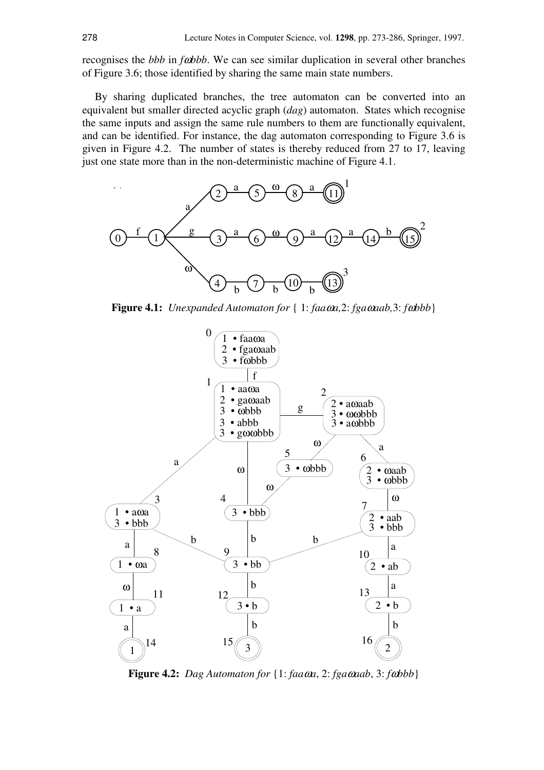recognises the *bbb* in *f*ω*bbb*. We can see similar duplication in several other branches of Figure 3.6; those identified by sharing the same main state numbers.

By sharing duplicated branches, the tree automaton can be converted into an equivalent but smaller directed acyclic graph (*dag*) automaton. States which recognise the same inputs and assign the same rule numbers to them are functionally equivalent, and can be identified. For instance, the dag automaton corresponding to Figure 3.6 is given in Figure 4.2. The number of states is thereby reduced from 27 to 17, leaving just one state more than in the non-deterministic machine of Figure 4.1.



**Figure 4.1:** *Unexpanded Automaton for* { 1: *faa*ω*a,*2: *fga*ω*aab,*3: *f*ω*bbb*}



**Figure 4.2:** *Dag Automaton for* {1: *faa*ω*a*, 2: *fga*ω*aab*, 3: *f*ω*bbb*}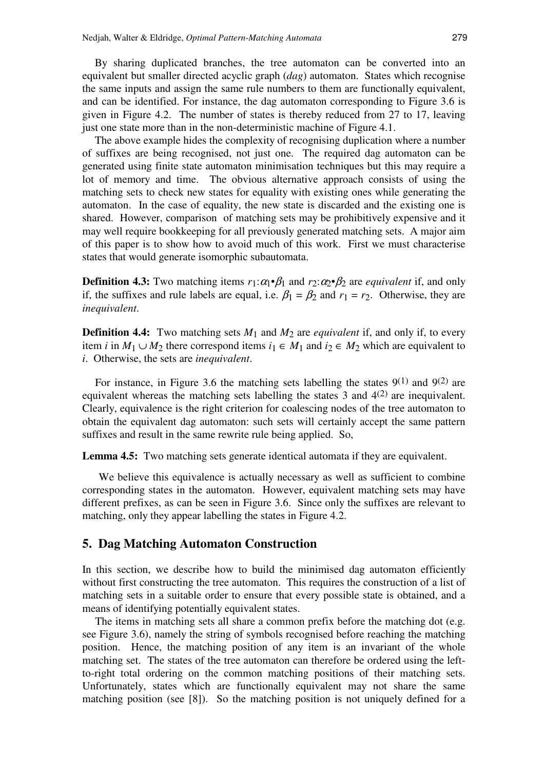By sharing duplicated branches, the tree automaton can be converted into an equivalent but smaller directed acyclic graph (*dag*) automaton. States which recognise the same inputs and assign the same rule numbers to them are functionally equivalent, and can be identified. For instance, the dag automaton corresponding to Figure 3.6 is given in Figure 4.2. The number of states is thereby reduced from 27 to 17, leaving just one state more than in the non-deterministic machine of Figure 4.1.

The above example hides the complexity of recognising duplication where a number of suffixes are being recognised, not just one. The required dag automaton can be generated using finite state automaton minimisation techniques but this may require a lot of memory and time. The obvious alternative approach consists of using the matching sets to check new states for equality with existing ones while generating the automaton. In the case of equality, the new state is discarded and the existing one is shared. However, comparison of matching sets may be prohibitively expensive and it may well require bookkeeping for all previously generated matching sets. A major aim of this paper is to show how to avoid much of this work. First we must characterise states that would generate isomorphic subautomata.

**Definition 4.3:** Two matching items  $r_1: \alpha_1 \cdot \beta_1$  and  $r_2: \alpha_2 \cdot \beta_2$  are *equivalent* if, and only if, the suffixes and rule labels are equal, i.e.  $\beta_1 = \beta_2$  and  $r_1 = r_2$ . Otherwise, they are *inequivalent*.

**Definition 4.4:** Two matching sets *M*1 and *M*2 are *equivalent* if, and only if, to every item *i* in *M*<sub>1</sub> ∪ *M*<sub>2</sub> there correspond items  $i_1 \text{ ∈ } M_1$  and  $i_2 \text{ ∈ } M_2$  which are equivalent to *i*. Otherwise, the sets are *inequivalent*.

For instance, in Figure 3.6 the matching sets labelling the states  $9^{(1)}$  and  $9^{(2)}$  are equivalent whereas the matching sets labelling the states 3 and  $4<sup>(2)</sup>$  are inequivalent. Clearly, equivalence is the right criterion for coalescing nodes of the tree automaton to obtain the equivalent dag automaton: such sets will certainly accept the same pattern suffixes and result in the same rewrite rule being applied. So,

**Lemma 4.5:** Two matching sets generate identical automata if they are equivalent.

We believe this equivalence is actually necessary as well as sufficient to combine corresponding states in the automaton. However, equivalent matching sets may have different prefixes, as can be seen in Figure 3.6. Since only the suffixes are relevant to matching, only they appear labelling the states in Figure 4.2.

#### **5. Dag Matching Automaton Construction**

In this section, we describe how to build the minimised dag automaton efficiently without first constructing the tree automaton. This requires the construction of a list of matching sets in a suitable order to ensure that every possible state is obtained, and a means of identifying potentially equivalent states.

The items in matching sets all share a common prefix before the matching dot (e.g. see Figure 3.6), namely the string of symbols recognised before reaching the matching position. Hence, the matching position of any item is an invariant of the whole matching set. The states of the tree automaton can therefore be ordered using the leftto-right total ordering on the common matching positions of their matching sets. Unfortunately, states which are functionally equivalent may not share the same matching position (see [8]). So the matching position is not uniquely defined for a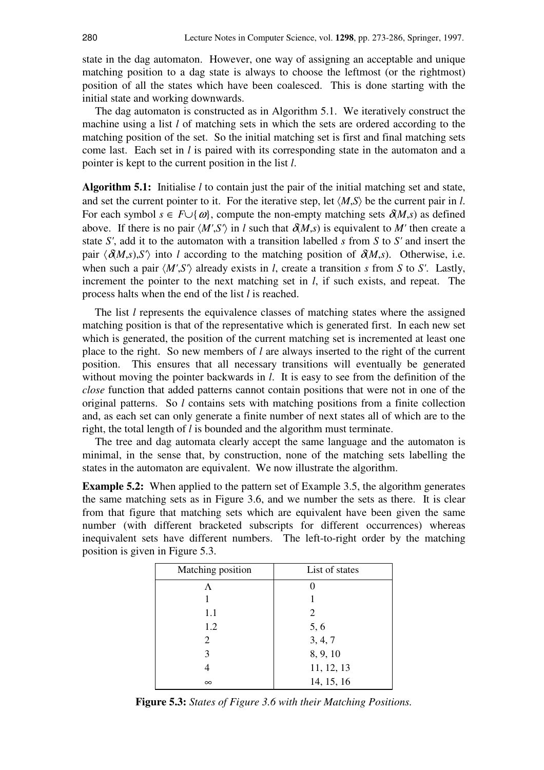state in the dag automaton. However, one way of assigning an acceptable and unique matching position to a dag state is always to choose the leftmost (or the rightmost) position of all the states which have been coalesced. This is done starting with the initial state and working downwards.

The dag automaton is constructed as in Algorithm 5.1. We iteratively construct the machine using a list *l* of matching sets in which the sets are ordered according to the matching position of the set. So the initial matching set is first and final matching sets come last. Each set in *l* is paired with its corresponding state in the automaton and a pointer is kept to the current position in the list *l*.

**Algorithm 5.1:** Initialise *l* to contain just the pair of the initial matching set and state, and set the current pointer to it. For the iterative step, let  $\langle M, S \rangle$  be the current pair in *l*. For each symbol  $s \in F \cup \{\omega\}$ , compute the non-empty matching sets  $\partial(M, s)$  as defined above. If there is no pair  $\langle M', S' \rangle$  in *l* such that  $\partial M, s$  is equivalent to M' then create a state *S'*, add it to the automaton with a transition labelled *s* from *S* to *S'* and insert the pair  $\langle \delta(M,s), S' \rangle$  into *l* according to the matching position of  $\delta(M,s)$ . Otherwise, i.e. when such a pair 〈*M'*,*S'*〉 already exists in *l*, create a transition *s* from *S* to *S'*. Lastly, increment the pointer to the next matching set in *l*, if such exists, and repeat. The process halts when the end of the list *l* is reached.

The list *l* represents the equivalence classes of matching states where the assigned matching position is that of the representative which is generated first. In each new set which is generated, the position of the current matching set is incremented at least one place to the right. So new members of *l* are always inserted to the right of the current position. This ensures that all necessary transitions will eventually be generated without moving the pointer backwards in *l*. It is easy to see from the definition of the *close* function that added patterns cannot contain positions that were not in one of the original patterns. So *l* contains sets with matching positions from a finite collection and, as each set can only generate a finite number of next states all of which are to the right, the total length of *l* is bounded and the algorithm must terminate.

The tree and dag automata clearly accept the same language and the automaton is minimal, in the sense that, by construction, none of the matching sets labelling the states in the automaton are equivalent. We now illustrate the algorithm.

**Example 5.2:** When applied to the pattern set of Example 3.5, the algorithm generates the same matching sets as in Figure 3.6, and we number the sets as there. It is clear from that figure that matching sets which are equivalent have been given the same number (with different bracketed subscripts for different occurrences) whereas inequivalent sets have different numbers. The left-to-right order by the matching position is given in Figure 5.3.

| Matching position | List of states |
|-------------------|----------------|
|                   |                |
|                   |                |
| 1.1               | 2              |
| 1.2               | 5,6            |
| 2                 | 3, 4, 7        |
| 3                 | 8, 9, 10       |
| 4                 | 11, 12, 13     |
| $\infty$          | 14, 15, 16     |

**Figure 5.3:** *States of Figure 3.6 with their Matching Positions.*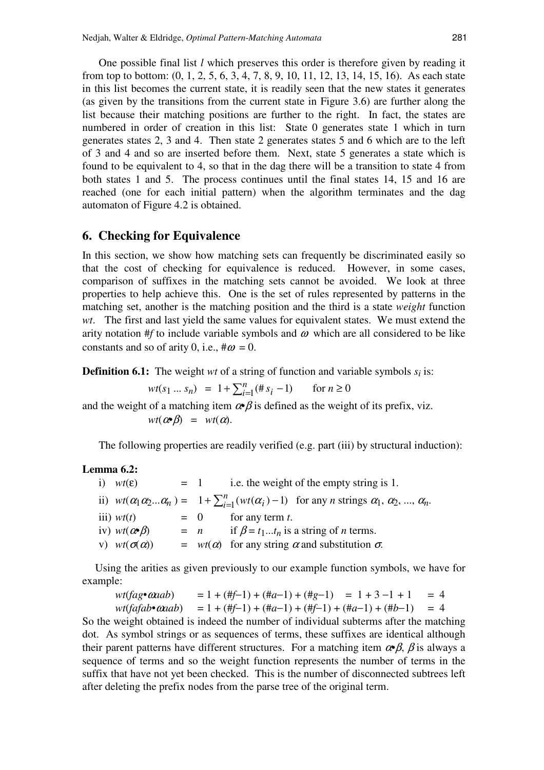One possible final list *l* which preserves this order is therefore given by reading it from top to bottom: (0, 1, 2, 5, 6, 3, 4, 7, 8, 9, 10, 11, 12, 13, 14, 15, 16). As each state in this list becomes the current state, it is readily seen that the new states it generates (as given by the transitions from the current state in Figure 3.6) are further along the list because their matching positions are further to the right. In fact, the states are numbered in order of creation in this list: State 0 generates state 1 which in turn generates states 2, 3 and 4. Then state 2 generates states 5 and 6 which are to the left of 3 and 4 and so are inserted before them. Next, state 5 generates a state which is found to be equivalent to 4, so that in the dag there will be a transition to state 4 from both states 1 and 5. The process continues until the final states 14, 15 and 16 are reached (one for each initial pattern) when the algorithm terminates and the dag automaton of Figure 4.2 is obtained.

#### **6. Checking for Equivalence**

In this section, we show how matching sets can frequently be discriminated easily so that the cost of checking for equivalence is reduced. However, in some cases, comparison of suffixes in the matching sets cannot be avoided. We look at three properties to help achieve this. One is the set of rules represented by patterns in the matching set, another is the matching position and the third is a state *weight* function *wt*. The first and last yield the same values for equivalent states. We must extend the arity notation  $#f$  to include variable symbols and  $\omega$  which are all considered to be like constants and so of arity 0, i.e.,  $\#\omega = 0$ .

**Definition 6.1:** The weight *wt* of a string of function and variable symbols  $s_i$  is:

$$
wt(s_1 \dots s_n) = 1 + \sum_{i=1}^n (\# s_i - 1) \qquad \text{for } n \ge 0
$$

and the weight of a matching item  $\alpha \beta$  is defined as the weight of its prefix, viz.  $wt(\alpha \cdot \beta) = wt(\alpha)$ .

The following properties are readily verified (e.g. part (iii) by structural induction):

#### **Lemma 6.2:**

| i) $wt(\varepsilon)$                             |       | $=$ 1   | i.e. the weight of the empty string is 1.                                                                                          |
|--------------------------------------------------|-------|---------|------------------------------------------------------------------------------------------------------------------------------------|
|                                                  |       |         | ii) $wt(\alpha_1\alpha_2\alpha_n) = 1 + \sum_{i=1}^n (wt(\alpha_i)-1)$ for any <i>n</i> strings $\alpha_1, \alpha_2, , \alpha_n$ . |
| iii) $wt(t)$                                     | $= 0$ |         | for any term t.                                                                                                                    |
| iv) $wt(\boldsymbol{\alpha} \boldsymbol{\beta})$ |       | $=$ $n$ | if $\beta = t_1t_n$ is a string of <i>n</i> terms.                                                                                 |
| v) $wt(\sigma(\alpha))$                          |       |         | = $wt(\alpha)$ for any string $\alpha$ and substitution $\sigma$ .                                                                 |

Using the arities as given previously to our example function symbols, we have for example:

 $wt(fag \cdot \alpha aab)$  = 1 + (#*f*−1) + (#*a*−1) + (#*g*−1) = 1 + 3 −1 + 1 = 4  $wt(fafab \cdot \omega aab) = 1 + (\#f-1) + (\#a-1) + (\#f-1) + (\#a-1) + (\#b-1) = 4$ 

So the weight obtained is indeed the number of individual subterms after the matching dot. As symbol strings or as sequences of terms, these suffixes are identical although their parent patterns have different structures. For a matching item  $\alpha \beta$ ,  $\beta$  is always a sequence of terms and so the weight function represents the number of terms in the suffix that have not yet been checked. This is the number of disconnected subtrees left after deleting the prefix nodes from the parse tree of the original term.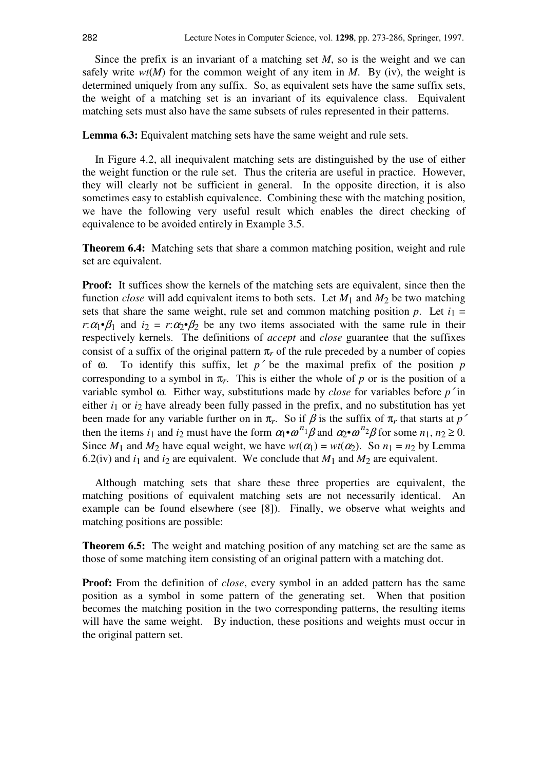Since the prefix is an invariant of a matching set *M*, so is the weight and we can safely write  $wt(M)$  for the common weight of any item in *M*. By (iv), the weight is determined uniquely from any suffix. So, as equivalent sets have the same suffix sets, the weight of a matching set is an invariant of its equivalence class. Equivalent matching sets must also have the same subsets of rules represented in their patterns.

**Lemma 6.3:** Equivalent matching sets have the same weight and rule sets.

In Figure 4.2, all inequivalent matching sets are distinguished by the use of either the weight function or the rule set. Thus the criteria are useful in practice. However, they will clearly not be sufficient in general. In the opposite direction, it is also sometimes easy to establish equivalence. Combining these with the matching position, we have the following very useful result which enables the direct checking of equivalence to be avoided entirely in Example 3.5.

**Theorem 6.4:** Matching sets that share a common matching position, weight and rule set are equivalent.

**Proof:** It suffices show the kernels of the matching sets are equivalent, since then the function *close* will add equivalent items to both sets. Let  $M_1$  and  $M_2$  be two matching sets that share the same weight, rule set and common matching position  $p$ . Let  $i_1 =$ *r*: $\alpha_1 \cdot \beta_1$  and  $i_2 = r \cdot \alpha_2 \cdot \beta_2$  be any two items associated with the same rule in their respectively kernels. The definitions of *accept* and *close* guarantee that the suffixes consist of a suffix of the original pattern  $\pi_r$  of the rule preceded by a number of copies of ω. To identify this suffix, let *p*′ be the maximal prefix of the position *p* corresponding to a symbol in  $\pi_r$ . This is either the whole of *p* or is the position of a variable symbol ω. Either way, substitutions made by *close* for variables before *p*′ in either  $i_1$  or  $i_2$  have already been fully passed in the prefix, and no substitution has yet been made for any variable further on in  $\pi_r$ . So if  $\beta$  is the suffix of  $\pi_r$  that starts at  $p'$ then the items  $i_1$  and  $i_2$  must have the form  $\alpha_1 \cdot \omega^{n_1} \beta$  and  $\alpha_2 \cdot \omega^{n_2} \beta$  for some  $n_1, n_2 \ge 0$ . Since  $M_1$  and  $M_2$  have equal weight, we have  $wt(\alpha_1) = wt(\alpha_2)$ . So  $n_1 = n_2$  by Lemma 6.2(iv) and  $i_1$  and  $i_2$  are equivalent. We conclude that  $M_1$  and  $M_2$  are equivalent.

Although matching sets that share these three properties are equivalent, the matching positions of equivalent matching sets are not necessarily identical. An example can be found elsewhere (see [8]). Finally, we observe what weights and matching positions are possible:

**Theorem 6.5:** The weight and matching position of any matching set are the same as those of some matching item consisting of an original pattern with a matching dot.

**Proof:** From the definition of *close*, every symbol in an added pattern has the same position as a symbol in some pattern of the generating set. When that position becomes the matching position in the two corresponding patterns, the resulting items will have the same weight. By induction, these positions and weights must occur in the original pattern set.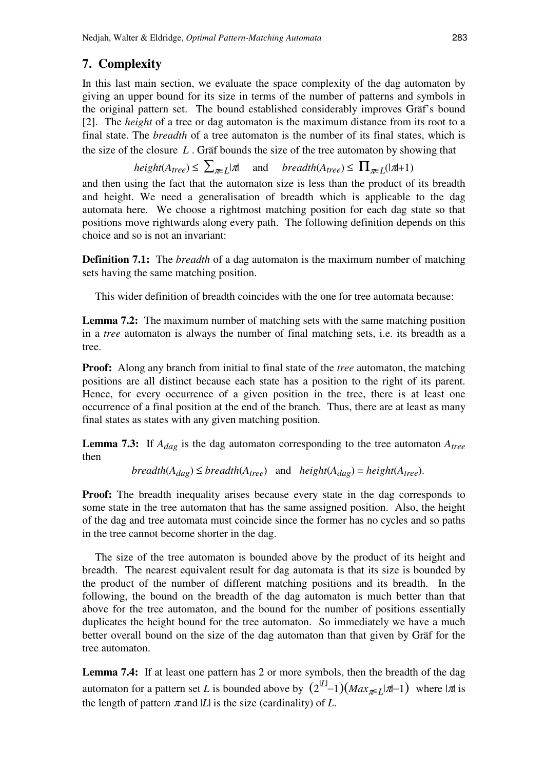## **7. Complexity**

In this last main section, we evaluate the space complexity of the dag automaton by giving an upper bound for its size in terms of the number of patterns and symbols in the original pattern set. The bound established considerably improves Gräf's bound [2].The *height* of a tree or dag automaton is the maximum distance from its root to a final state. The *breadth* of a tree automaton is the number of its final states, which is the size of the closure  $\overline{L}$ . Gräf bounds the size of the tree automaton by showing that

$$
height(A_{tree}) \leq \sum_{\pi \in L} |\pi| \quad \text{and} \quad breadth(A_{tree}) \leq \prod_{\pi \in L} (|\pi|+1)
$$

and then using the fact that the automaton size is less than the product of its breadth and height. We need a generalisation of breadth which is applicable to the dag automata here. We choose a rightmost matching position for each dag state so that positions move rightwards along every path. The following definition depends on this choice and so is not an invariant:

**Definition 7.1:** The *breadth* of a dag automaton is the maximum number of matching sets having the same matching position.

This wider definition of breadth coincides with the one for tree automata because:

**Lemma 7.2:** The maximum number of matching sets with the same matching position in a *tree* automaton is always the number of final matching sets, i.e. its breadth as a tree.

**Proof:** Along any branch from initial to final state of the *tree* automaton, the matching positions are all distinct because each state has a position to the right of its parent. Hence, for every occurrence of a given position in the tree, there is at least one occurrence of a final position at the end of the branch. Thus, there are at least as many final states as states with any given matching position.

**Lemma 7.3:** If *Adag* is the dag automaton corresponding to the tree automaton *Atree* then

*breadth*( $A_{day}$ )  $\leq$  *breadth*( $A_{tree}$ ) and  $height(A_{day}) = height(A_{tree})$ .

**Proof:** The breadth inequality arises because every state in the dag corresponds to some state in the tree automaton that has the same assigned position. Also, the height of the dag and tree automata must coincide since the former has no cycles and so paths in the tree cannot become shorter in the dag.

The size of the tree automaton is bounded above by the product of its height and breadth. The nearest equivalent result for dag automata is that its size is bounded by the product of the number of different matching positions and its breadth. In the following, the bound on the breadth of the dag automaton is much better than that above for the tree automaton, and the bound for the number of positions essentially duplicates the height bound for the tree automaton. So immediately we have a much better overall bound on the size of the dag automaton than that given by Gräf for the tree automaton.

Lemma 7.4: If at least one pattern has 2 or more symbols, then the breadth of the dag automaton for a pattern set *L* is bounded above by  $(2^{|L|}-1)(Max_{\pi \in L}|\pi|-1)$  where  $|\pi|$  is the length of pattern  $\pi$  and |*L*| is the size (cardinality) of *L*.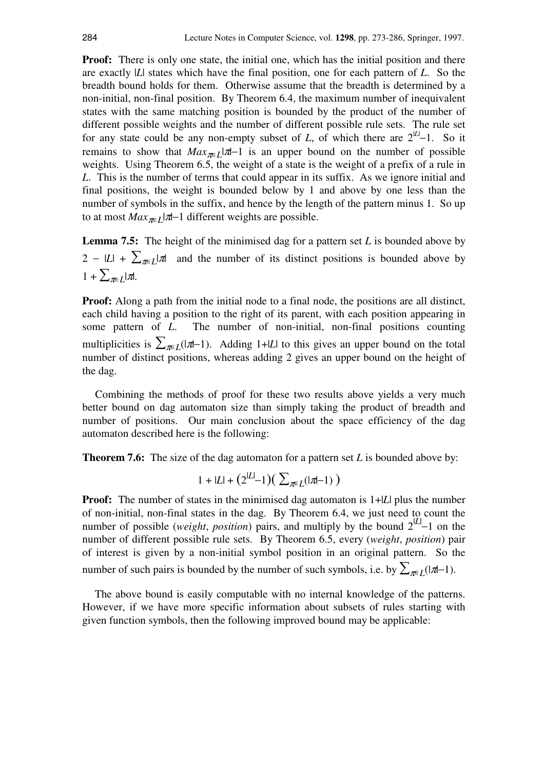**Proof:** There is only one state, the initial one, which has the initial position and there are exactly |*L*| states which have the final position, one for each pattern of *L*. So the breadth bound holds for them. Otherwise assume that the breadth is determined by a non-initial, non-final position. By Theorem 6.4, the maximum number of inequivalent states with the same matching position is bounded by the product of the number of different possible weights and the number of different possible rule sets. The rule set for any state could be any non-empty subset of *L*, of which there are  $2^{|L|}$ -1. So it remains to show that  $Max_{\pi \in L} |\pi - 1|$  is an upper bound on the number of possible weights. Using Theorem 6.5, the weight of a state is the weight of a prefix of a rule in *L*. This is the number of terms that could appear in its suffix. As we ignore initial and final positions, the weight is bounded below by 1 and above by one less than the number of symbols in the suffix, and hence by the length of the pattern minus 1. So up to at most *Max*<sub>π∈L</sub> | π<sup>|</sup> −1 different weights are possible.

**Lemma 7.5:** The height of the minimised dag for a pattern set *L* is bounded above by  $2 - |L| + \sum_{\pi \in L} |\pi|$  and the number of its distinct positions is bounded above by  $1 + \sum_{\pi \in L} |\pi|$ .

**Proof:** Along a path from the initial node to a final node, the positions are all distinct, each child having a position to the right of its parent, with each position appearing in some pattern of *L*. The number of non-initial, non-final positions counting multiplicities is  $\sum_{\pi \in L}(|\pi| - 1)$ . Adding 1+*L*| to this gives an upper bound on the total number of distinct positions, whereas adding 2 gives an upper bound on the height of the dag.

Combining the methods of proof for these two results above yields a very much better bound on dag automaton size than simply taking the product of breadth and number of positions. Our main conclusion about the space efficiency of the dag automaton described here is the following:

**Theorem 7.6:** The size of the dag automaton for a pattern set *L* is bounded above by:

$$
1 + |L| + (2^{|L|} - 1)(\sum_{\pi \in L}(|\pi| - 1))
$$

**Proof:** The number of states in the minimised dag automaton is 1+ $|L|$  plus the number of non-initial, non-final states in the dag. By Theorem 6.4, we just need to count the number of possible (*weight*, *position*) pairs, and multiply by the bound  $2^{|L|}$ –1 on the number of different possible rule sets. By Theorem 6.5, every (*weight*, *position*) pair of interest is given by a non-initial symbol position in an original pattern. So the number of such pairs is bounded by the number of such symbols, i.e. by  $\sum_{\pi \in L} (|\pi| - 1)$ .

The above bound is easily computable with no internal knowledge of the patterns. However, if we have more specific information about subsets of rules starting with given function symbols, then the following improved bound may be applicable: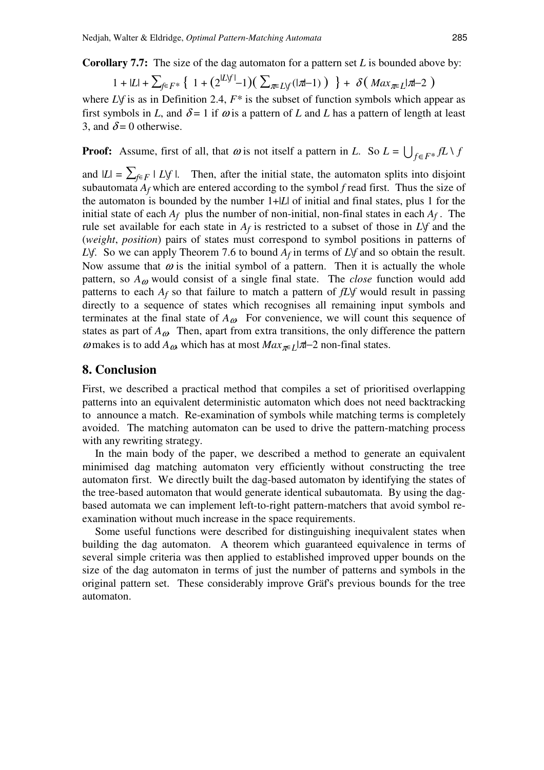**Corollary 7.7:** The size of the dag automaton for a pattern set *L* is bounded above by:

$$
1 + |L| + \sum_{f \in F^*} \left\{ 1 + \left(2^{|L|f|} - 1\right) \left( \sum_{\pi \in L} \left( |\pi| - 1 \right) \right) \right\} + \delta \left( \max_{\pi \in L} |\pi| - 2 \right)
$$

where  $L\forall$  is as in Definition 2.4,  $F^*$  is the subset of function symbols which appear as first symbols in *L*, and  $\delta = 1$  if  $\omega$  is a pattern of *L* and *L* has a pattern of length at least 3, and  $\delta = 0$  otherwise.

**Proof:** Assume, first of all, that  $\omega$  is not itself a pattern in *L*. So  $L = \bigcup_{f \in F^*} fL \setminus f$ 

and  $|L| = \sum_{f \in F} |L(f)|$ . Then, after the initial state, the automaton splits into disjoint subautomata  $A_f$  which are entered according to the symbol  $f$  read first. Thus the size of the automaton is bounded by the number 1+|*L*| of initial and final states, plus 1 for the initial state of each  $A_f$  plus the number of non-initial, non-final states in each  $A_f$ . The rule set available for each state in  $A_f$  is restricted to a subset of those in L $\forall$  and the (*weight*, *position*) pairs of states must correspond to symbol positions in patterns of *L*\*f*. So we can apply Theorem 7.6 to bound  $A_f$  in terms of *L*\*f* and so obtain the result. Now assume that  $\omega$  is the initial symbol of a pattern. Then it is actually the whole pattern, so  $A_{\omega}$  would consist of a single final state. The *close* function would add patterns to each  $A_f$  so that failure to match a pattern of  $fL\mathcal{F}$  would result in passing directly to a sequence of states which recognises all remaining input symbols and terminates at the final state of  $A_{\omega}$ . For convenience, we will count this sequence of states as part of  $A_{\omega}$ . Then, apart from extra transitions, the only difference the pattern  $ω$  makes is to add  $A_ω$  which has at most  $Max_{π∈L}$  | $π$  - 2 non-final states.

### **8. Conclusion**

First, we described a practical method that compiles a set of prioritised overlapping patterns into an equivalent deterministic automaton which does not need backtracking to announce a match. Re-examination of symbols while matching terms is completely avoided. The matching automaton can be used to drive the pattern-matching process with any rewriting strategy.

In the main body of the paper, we described a method to generate an equivalent minimised dag matching automaton very efficiently without constructing the tree automaton first. We directly built the dag-based automaton by identifying the states of the tree-based automaton that would generate identical subautomata. By using the dagbased automata we can implement left-to-right pattern-matchers that avoid symbol reexamination without much increase in the space requirements.

Some useful functions were described for distinguishing inequivalent states when building the dag automaton. A theorem which guaranteed equivalence in terms of several simple criteria was then applied to established improved upper bounds on the size of the dag automaton in terms of just the number of patterns and symbols in the original pattern set. These considerably improve Gräf's previous bounds for the tree automaton.